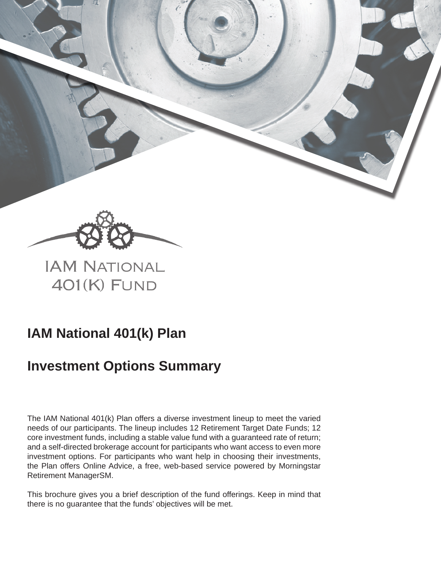

**IAM NATIONAL** 401(K) FUND

# **IAM National 401(k) Plan**

# **Investment Options Summary**

The IAM National 401(k) Plan offers a diverse investment lineup to meet the varied needs of our participants. The lineup includes 12 Retirement Target Date Funds; 12 core investment funds, including a stable value fund with a guaranteed rate of return; and a self-directed brokerage account for participants who want access to even more investment options. For participants who want help in choosing their investments, the Plan offers Online Advice, a free, web-based service powered by Morningstar Retirement ManagerSM.

This brochure gives you a brief description of the fund offerings. Keep in mind that there is no guarantee that the funds' objectives will be met.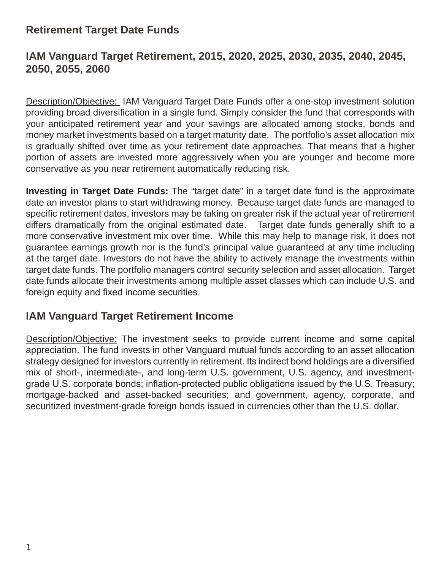# **Retirement Target Date Funds**

# **IAM Vanguard Target Retirement, 2015, 2020, 2025, 2030, 2035, 2040, 2045, 2050, 2055, 2060**

Description/Objective: IAM Vanguard Target Date Funds offer a one-stop investment solution providing broad diversification in a single fund. Simply consider the fund that corresponds with your anticipated retirement year and your savings are allocated among stocks, bonds and money market investments based on a target maturity date. The portfolio's asset allocation mix is gradually shifted over time as your retirement date approaches. That means that a higher portion of assets are invested more aggressively when you are younger and become more conservative as you near retirement automatically reducing risk.

**Investing in Target Date Funds:** The "target date" in a target date fund is the approximate date an investor plans to start withdrawing money. Because target date funds are managed to specific retirement dates, investors may be taking on greater risk if the actual year of retirement differs dramatically from the original estimated date. Target date funds generally shift to a more conservative investment mix over time. While this may help to manage risk, it does not guarantee earnings growth nor is the fund's principal value guaranteed at any time including at the target date. Investors do not have the ability to actively manage the investments within target date funds. The portfolio managers control security selection and asset allocation. Target date funds allocate their investments among multiple asset classes which can include U.S. and foreign equity and fixed income securities.

# **IAM Vanguard Target Retirement Income**

Description/Objective: The investment seeks to provide current income and some capital appreciation. The fund invests in other Vanguard mutual funds according to an asset allocation strategy designed for investors currently in retirement. Its indirect bond holdings are a diversified mix of short-, intermediate-, and long-term U.S. government, U.S. agency, and investmentgrade U.S. corporate bonds; inflation-protected public obligations issued by the U.S. Treasury; mortgage-backed and asset-backed securities; and government, agency, corporate, and securitized investment-grade foreign bonds issued in currencies other than the U.S. dollar.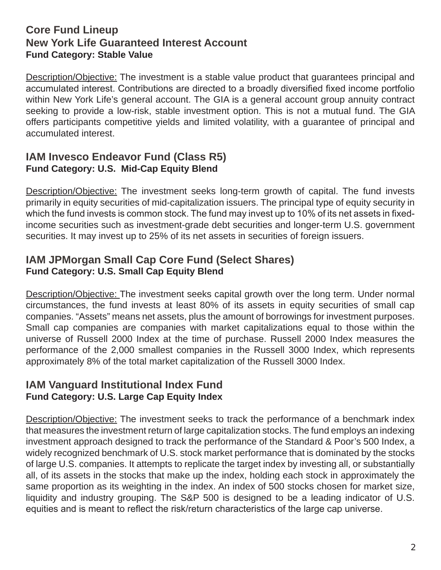## **Core Fund Lineup New York Life Guaranteed Interest Account Fund Category: Stable Value**

Description/Objective: The investment is a stable value product that guarantees principal and accumulated interest. Contributions are directed to a broadly diversified fixed income portfolio within New York Life's general account. The GIA is a general account group annuity contract seeking to provide a low-risk, stable investment option. This is not a mutual fund. The GIA offers participants competitive yields and limited volatility, with a guarantee of principal and accumulated interest.

## **IAM Invesco Endeavor Fund (Class R5) Fund Category: U.S. Mid-Cap Equity Blend**

Description/Objective: The investment seeks long-term growth of capital. The fund invests primarily in equity securities of mid-capitalization issuers. The principal type of equity security in which the fund invests is common stock. The fund may invest up to 10% of its net assets in fixedincome securities such as investment-grade debt securities and longer-term U.S. government securities. It may invest up to 25% of its net assets in securities of foreign issuers.

## **IAM JPMorgan Small Cap Core Fund (Select Shares) Fund Category: U.S. Small Cap Equity Blend**

Description/Objective: The investment seeks capital growth over the long term. Under normal circumstances, the fund invests at least 80% of its assets in equity securities of small cap companies. "Assets" means net assets, plus the amount of borrowings for investment purposes. Small cap companies are companies with market capitalizations equal to those within the universe of Russell 2000 Index at the time of purchase. Russell 2000 Index measures the performance of the 2,000 smallest companies in the Russell 3000 Index, which represents approximately 8% of the total market capitalization of the Russell 3000 Index.

#### **IAM Vanguard Institutional Index Fund Fund Category: U.S. Large Cap Equity Index**

Description/Objective: The investment seeks to track the performance of a benchmark index that measures the investment return of large capitalization stocks. The fund employs an indexing investment approach designed to track the performance of the Standard & Poor's 500 Index, a widely recognized benchmark of U.S. stock market performance that is dominated by the stocks of large U.S. companies. It attempts to replicate the target index by investing all, or substantially all, of its assets in the stocks that make up the index, holding each stock in approximately the same proportion as its weighting in the index. An index of 500 stocks chosen for market size, liquidity and industry grouping. The S&P 500 is designed to be a leading indicator of U.S. equities and is meant to reflect the risk/return characteristics of the large cap universe.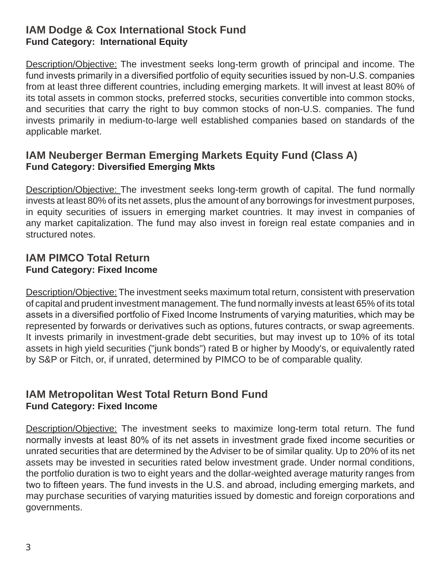## **IAM Dodge & Cox International Stock Fund Fund Category: International Equity**

Description/Objective: The investment seeks long-term growth of principal and income. The fund invests primarily in a diversified portfolio of equity securities issued by non-U.S. companies from at least three different countries, including emerging markets. It will invest at least 80% of its total assets in common stocks, preferred stocks, securities convertible into common stocks, and securities that carry the right to buy common stocks of non-U.S. companies. The fund invests primarily in medium-to-large well established companies based on standards of the applicable market.

## **IAM Neuberger Berman Emerging Markets Equity Fund (Class A) Fund Category: Diversified Emerging Mkts**

Description/Objective: The investment seeks long-term growth of capital. The fund normally invests at least 80% of its net assets, plus the amount of any borrowings for investment purposes, in equity securities of issuers in emerging market countries. It may invest in companies of any market capitalization. The fund may also invest in foreign real estate companies and in structured notes.

#### **IAM PIMCO Total Return Fund Category: Fixed Income**

Description/Objective: The investment seeks maximum total return, consistent with preservation of capital and prudent investment management. The fund normally invests at least 65% of its total assets in a diversified portfolio of Fixed Income Instruments of varying maturities, which may be represented by forwards or derivatives such as options, futures contracts, or swap agreements. It invests primarily in investment-grade debt securities, but may invest up to 10% of its total assets in high yield securities ("junk bonds") rated B or higher by Moody's, or equivalently rated by S&P or Fitch, or, if unrated, determined by PIMCO to be of comparable quality.

## **IAM Metropolitan West Total Return Bond Fund Fund Category: Fixed Income**

Description/Objective: The investment seeks to maximize long-term total return. The fund normally invests at least 80% of its net assets in investment grade fixed income securities or unrated securities that are determined by the Adviser to be of similar quality. Up to 20% of its net assets may be invested in securities rated below investment grade. Under normal conditions, the portfolio duration is two to eight years and the dollar-weighted average maturity ranges from two to fifteen years. The fund invests in the U.S. and abroad, including emerging markets, and may purchase securities of varying maturities issued by domestic and foreign corporations and governments.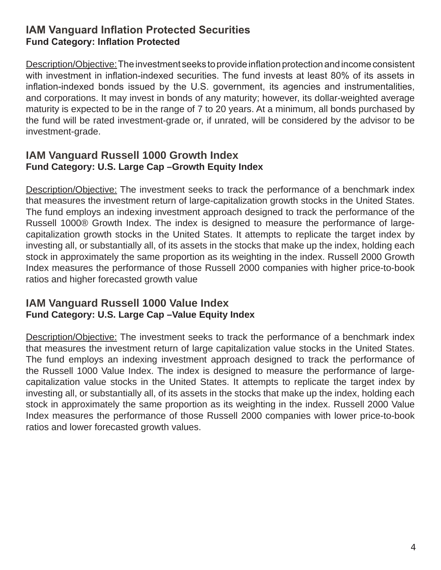### **IAM Vanguard Inflation Protected Securities Fund Category: Inflation Protected**

Description/Objective: The investment seeks to provide inflation protection and income consistent with investment in inflation-indexed securities. The fund invests at least 80% of its assets in inflation-indexed bonds issued by the U.S. government, its agencies and instrumentalities, and corporations. It may invest in bonds of any maturity; however, its dollar-weighted average maturity is expected to be in the range of 7 to 20 years. At a minimum, all bonds purchased by the fund will be rated investment-grade or, if unrated, will be considered by the advisor to be investment-grade.

#### **IAM Vanguard Russell 1000 Growth Index Fund Category: U.S. Large Cap –Growth Equity Index**

Description/Objective: The investment seeks to track the performance of a benchmark index that measures the investment return of large-capitalization growth stocks in the United States. The fund employs an indexing investment approach designed to track the performance of the Russell 1000® Growth Index. The index is designed to measure the performance of largecapitalization growth stocks in the United States. It attempts to replicate the target index by investing all, or substantially all, of its assets in the stocks that make up the index, holding each stock in approximately the same proportion as its weighting in the index. Russell 2000 Growth Index measures the performance of those Russell 2000 companies with higher price-to-book ratios and higher forecasted growth value

#### **IAM Vanguard Russell 1000 Value Index Fund Category: U.S. Large Cap –Value Equity Index**

Description/Objective: The investment seeks to track the performance of a benchmark index that measures the investment return of large capitalization value stocks in the United States. The fund employs an indexing investment approach designed to track the performance of the Russell 1000 Value Index. The index is designed to measure the performance of largecapitalization value stocks in the United States. It attempts to replicate the target index by investing all, or substantially all, of its assets in the stocks that make up the index, holding each stock in approximately the same proportion as its weighting in the index. Russell 2000 Value Index measures the performance of those Russell 2000 companies with lower price-to-book ratios and lower forecasted growth values.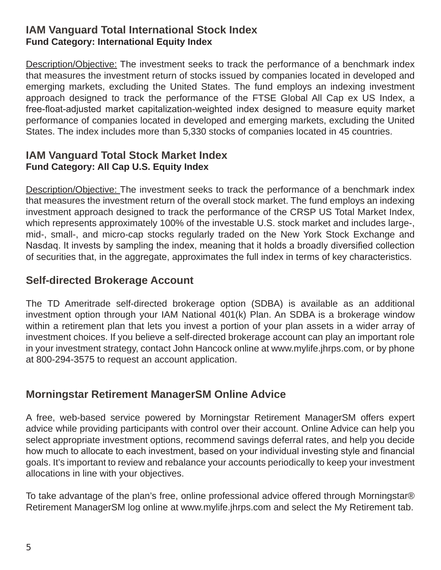#### **IAM Vanguard Total International Stock Index Fund Category: International Equity Index**

Description/Objective: The investment seeks to track the performance of a benchmark index that measures the investment return of stocks issued by companies located in developed and emerging markets, excluding the United States. The fund employs an indexing investment approach designed to track the performance of the FTSE Global All Cap ex US Index, a free-float-adjusted market capitalization-weighted index designed to measure equity market performance of companies located in developed and emerging markets, excluding the United States. The index includes more than 5,330 stocks of companies located in 45 countries.

#### **IAM Vanguard Total Stock Market Index Fund Category: All Cap U.S. Equity Index**

Description/Objective: The investment seeks to track the performance of a benchmark index that measures the investment return of the overall stock market. The fund employs an indexing investment approach designed to track the performance of the CRSP US Total Market Index, which represents approximately 100% of the investable U.S. stock market and includes large-, mid-, small-, and micro-cap stocks regularly traded on the New York Stock Exchange and Nasdaq. It invests by sampling the index, meaning that it holds a broadly diversified collection of securities that, in the aggregate, approximates the full index in terms of key characteristics.

# **Self-directed Brokerage Account**

The TD Ameritrade self-directed brokerage option (SDBA) is available as an additional investment option through your IAM National 401(k) Plan. An SDBA is a brokerage window within a retirement plan that lets you invest a portion of your plan assets in a wider array of investment choices. If you believe a self-directed brokerage account can play an important role in your investment strategy, contact John Hancock online at www.mylife.jhrps.com, or by phone at 800-294-3575 to request an account application.

# **Morningstar Retirement ManagerSM Online Advice**

A free, web-based service powered by Morningstar Retirement ManagerSM offers expert advice while providing participants with control over their account. Online Advice can help you select appropriate investment options, recommend savings deferral rates, and help you decide how much to allocate to each investment, based on your individual investing style and financial goals. It's important to review and rebalance your accounts periodically to keep your investment allocations in line with your objectives.

To take advantage of the plan's free, online professional advice offered through Morningstar® Retirement ManagerSM log online at www.mylife.jhrps.com and select the My Retirement tab.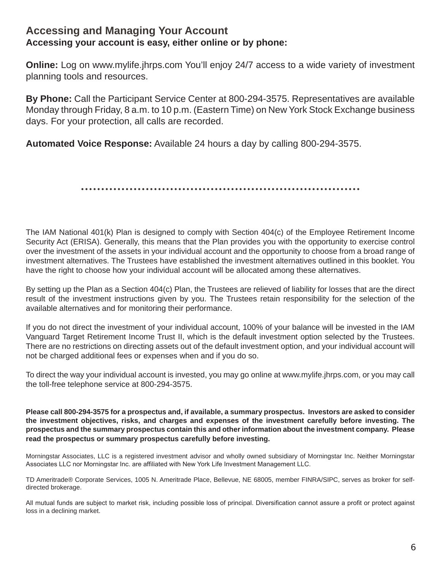#### **Accessing and Managing Your Account Accessing your account is easy, either online or by phone:**

**Online:** Log on www.mylife.jhrps.com You'll enjoy 24/7 access to a wide variety of investment planning tools and resources.

**By Phone:** Call the Participant Service Center at 800-294-3575. Representatives are available Monday through Friday, 8 a.m. to 10 p.m. (Eastern Time) on New York Stock Exchange business days. For your protection, all calls are recorded.

**Automated Voice Response:** Available 24 hours a day by calling 800-294-3575.

The IAM National 401(k) Plan is designed to comply with Section 404(c) of the Employee Retirement Income Security Act (ERISA). Generally, this means that the Plan provides you with the opportunity to exercise control over the investment of the assets in your individual account and the opportunity to choose from a broad range of investment alternatives. The Trustees have established the investment alternatives outlined in this booklet. You have the right to choose how your individual account will be allocated among these alternatives.

By setting up the Plan as a Section 404(c) Plan, the Trustees are relieved of liability for losses that are the direct result of the investment instructions given by you. The Trustees retain responsibility for the selection of the available alternatives and for monitoring their performance.

If you do not direct the investment of your individual account, 100% of your balance will be invested in the IAM Vanguard Target Retirement Income Trust II, which is the default investment option selected by the Trustees. There are no restrictions on directing assets out of the default investment option, and your individual account will not be charged additional fees or expenses when and if you do so.

To direct the way your individual account is invested, you may go online at www.mylife.jhrps.com, or you may call the toll-free telephone service at 800-294-3575.

**Please call 800-294-3575 for a prospectus and, if available, a summary prospectus. Investors are asked to consider the investment objectives, risks, and charges and expenses of the investment carefully before investing. The prospectus and the summary prospectus contain this and other information about the investment company. Please read the prospectus or summary prospectus carefully before investing.**

Morningstar Associates, LLC is a registered investment advisor and wholly owned subsidiary of Morningstar Inc. Neither Morningstar Associates LLC nor Morningstar Inc. are affiliated with New York Life Investment Management LLC.

TD Ameritrade® Corporate Services, 1005 N. Ameritrade Place, Bellevue, NE 68005, member FINRA/SIPC, serves as broker for selfdirected brokerage.

All mutual funds are subject to market risk, including possible loss of principal. Diversification cannot assure a profit or protect against loss in a declining market.